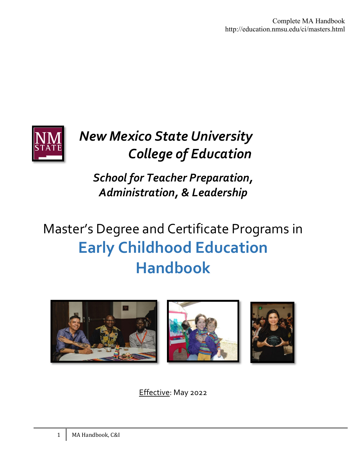Complete MA Handbook http://education.nmsu.edu/ci/masters.html



## *New Mexico State University College of Education*

*School for Teacher Preparation, Administration, & Leadership*

# Master's Degree and Certificate Programs in **Early Childhood Education Handbook**



Effective: May 2022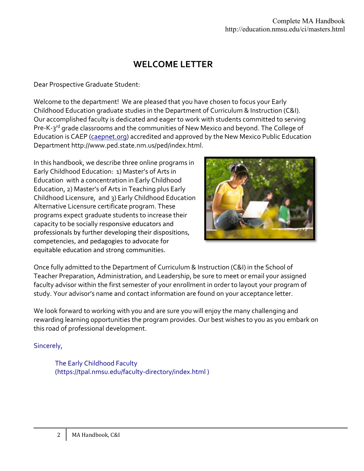## **WELCOME LETTER**

Dear Prospective Graduate Student:

Welcome to the department! We are pleased that you have chosen to focus your Early Childhood Education graduate studies in the Department of Curriculum & Instruction (C&I). Our accomplished faculty is dedicated and eager to work with students committed to serving Pre-K-3<sup>rd</sup> grade classrooms and the communities of New Mexico and beyond. The College of Education is CAEP [\(caepnet.org\)](http://www.caepnet.org/) accredited and approved by the New Mexico Public Education Department http://www.ped.state.nm.us/ped/index.html.

In this handbook, we describe three online programs in Early Childhood Education: 1) Master's of Arts in Education with a concentration in Early Childhood Education, 2) Master's of Arts in Teaching plus Early Childhood Licensure, and 3) Early Childhood Education Alternative Licensure certificate program. These programs expect graduate students to increase their capacity to be socially responsive educators and professionals by further developing their dispositions, competencies, and pedagogies to advocate for equitable education and strong communities.



Once fully admitted to the Department of Curriculum & Instruction (C&I) in the School of Teacher Preparation, Administration, and Leadership, be sure to meet or email your assigned faculty advisor within the first semester of your enrollment in order to layout your program of study. Your advisor's name and contact information are found on your acceptance letter.

We look forward to working with you and are sure you will enjoy the many challenging and rewarding learning opportunities the program provides. Our best wishes to you as you embark on this road of professional development.

#### Sincerely,

The Early Childhood Faculty (https://tpal.nmsu.edu/faculty-directory/index.html )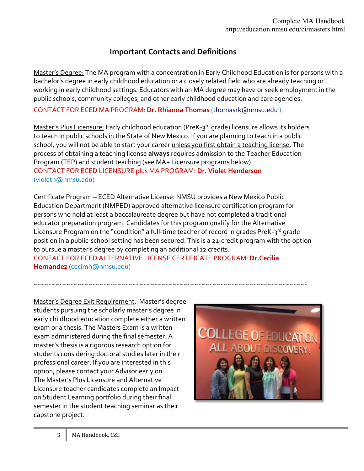## **Important Contacts and Definitions**

Master's Degree: The MA program with a concentration in Early Childhood Education is for persons with a bachelor's degree in early childhood education or a closely related field who are already teaching or working in early childhood settings. Educators with an MA degree may have or seek employment in the public schools, community colleges, and other early childhood education and care agencies.

CONTACT FOR ECED MA PROGRAM: **Dr. Rhianna Thomas** [\(thomasrk@nmsu.edu \)](mailto:thomasrk@nmsu.edu)

Master's Plus Licensure: Early childhood education (PreK-3<sup>rd</sup> grade) licensure allows its holders to teach in public schools in the State of New Mexico. If you are planning to teach in a public school, you will not be able to start your career unless you first obtain a teaching license. The process of obtaining a teaching license **always** requires admission to the Teacher Education Program (TEP) and student teaching (see MA+ Licensure programs below). CONTACT FOR ECED LICENSURE plus MA PROGRAM: **Dr. Violet Henderson**  (violeth@nmsu.edu)

Certificate Program – ECED Alternative License: NMSU provides a New Mexico Public Education Department (NMPED) approved alternative licensure certification program for persons who hold at least a baccalaureate degree but have not completed a traditional educator preparation program. Candidates for this program qualify for the Alternative Licensure Program on the "condition" a full-time teacher of record in grades PreK-3rd grade position in a public-school setting has been secured. This is a 21-credit program with the option to pursue a master's degree by completing an additional 12 credits.

~~~~~~~~~~~~~~~~~~~~~~~~~~~~~~~~~~~~~~~~~~~~~~~~~~~~~~~~~~~~~~~~~~~~~~~~~~~

CONTACT FOR ECED ALTERNATIVE LICENSE CERTIFICATE PROGRAM: **Dr.Cecilia Hernandez** (cecimh@nmsu.edu)

Master's Degree Exit Requirement. Master's degree students pursuing the scholarly master's degree in early childhood education complete either a written exam or a thesis. The Masters Exam is a written exam administered during the final semester. A master's thesis is a rigorous research option for students considering doctoral studies later in their professional career. If you are interested in this option, please contact your Advisor early on. The Master's Plus Licensure and Alternative Licensure teacher candidates complete an Impact on Student Learning portfolio during their final semester in the student teaching seminar as their capstone project.

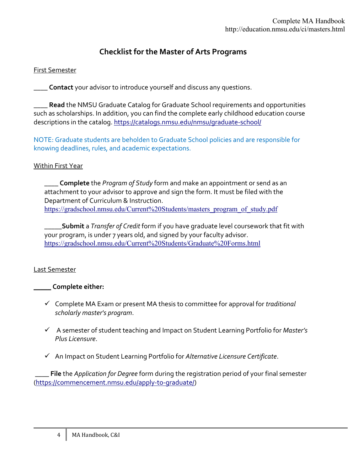## **Checklist for the Master of Arts Programs**

#### First Semester

\_\_\_\_ **Contact** your advisor to introduce yourself and discuss any questions.

\_\_\_\_ **Read** the NMSU Graduate Catalog for Graduate School requirements and opportunities such as scholarships. In addition, you can find the complete early childhood education course descriptions in the catalog.<https://catalogs.nmsu.edu/nmsu/graduate-school/>

NOTE: Graduate students are beholden to Graduate School policies and are responsible for knowing deadlines, rules, and academic expectations.

#### Within First Year

\_\_\_\_ **Complete** the *Program of Study* form and make an appointment or send as an attachment to your advisor to approve and sign the form. It must be filed with the Department of Curriculum & Instruction. [https://gradschool.nmsu.edu/Current%20Students/masters\\_program\\_of\\_study.pdf](https://gradschool.nmsu.edu/Current%20Students/masters_program_of_study.pdf)

\_\_\_\_\_**Submit** a *Transfer of Credit* form if you have graduate level coursework that fit with your program, is under 7 years old, and signed by your faculty advisor. <https://gradschool.nmsu.edu/Current%20Students/Graduate%20Forms.html>

#### Last Semester

#### \_\_\_\_\_ **Complete either:**

- Complete MA Exam or present MA thesis to committee for approval for *traditional scholarly master's program*.
- A semester of student teaching and Impact on Student Learning Portfolio for *Master's Plus Licensure*.
- An Impact on Student Learning Portfolio for *Alternative Licensure Certificate*.

\_\_\_\_ **File** the *Application for Degree* form during the registration period of your final semester [\(https://commencement.nmsu.edu/apply-to-graduate/\)](https://commencement.nmsu.edu/apply-to-graduate/)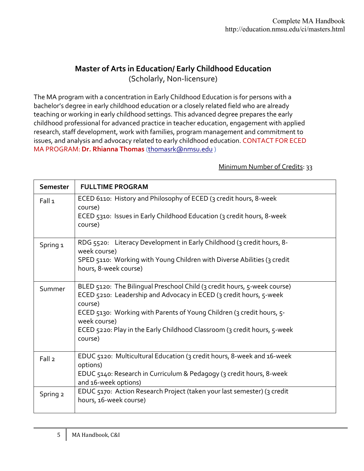## **Master of Arts in Education/ Early Childhood Education** (Scholarly, Non-licensure)

The MA program with a concentration in Early Childhood Education is for persons with a bachelor's degree in early childhood education or a closely related field who are already teaching or working in early childhood settings. This advanced degree prepares the early childhood professional for advanced practice in teacher education, engagement with applied research, staff development, work with families, program management and commitment to issues, and analysis and advocacy related to early childhood education. CONTACT FOR ECED MA PROGRAM: **Dr. Rhianna Thomas** [\(thomasrk@nmsu.edu](mailto:thomasrk@nmsu.edu) )

#### Minimum Number of Credits: 33

| Semester            | <b>FULLTIME PROGRAM</b>                                                                                                                                                                                                                                                                                                                   |
|---------------------|-------------------------------------------------------------------------------------------------------------------------------------------------------------------------------------------------------------------------------------------------------------------------------------------------------------------------------------------|
| Fall 1              | ECED 6110: History and Philosophy of ECED (3 credit hours, 8-week<br>course)<br>ECED 5310: Issues in Early Childhood Education (3 credit hours, 8-week<br>course)                                                                                                                                                                         |
| Spring <sub>1</sub> | RDG 5520: Literacy Development in Early Childhood (3 credit hours, 8-<br>week course)<br>SPED 5110: Working with Young Children with Diverse Abilities (3 credit<br>hours, 8-week course)                                                                                                                                                 |
| Summer              | BLED 5120: The Bilingual Preschool Child (3 credit hours, 5-week course)<br>ECED 5210: Leadership and Advocacy in ECED (3 credit hours, 5-week<br>course)<br>ECED 5130: Working with Parents of Young Children (3 credit hours, 5-<br>week course)<br>ECED 5220: Play in the Early Childhood Classroom (3 credit hours, 5-week<br>course) |
| Fall <sub>2</sub>   | EDUC 5120: Multicultural Education (3 credit hours, 8-week and 16-week<br>options)<br>EDUC 5140: Research in Curriculum & Pedagogy (3 credit hours, 8-week<br>and 16-week options)                                                                                                                                                        |
| Spring 2            | EDUC 5170: Action Research Project (taken your last semester) (3 credit<br>hours, 16-week course)                                                                                                                                                                                                                                         |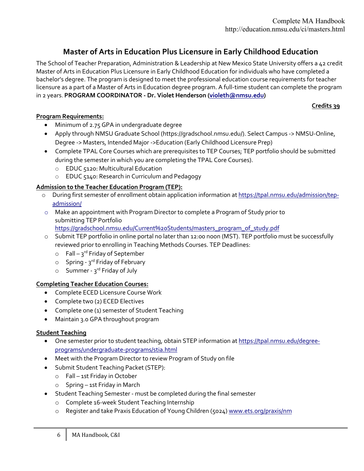## **Master of Arts in Education Plus Licensure in Early Childhood Education**

The School of Teacher Preparation, Administration & Leadership at New Mexico State University offers a 42 credit Master of Arts in Education Plus Licensure in Early Childhood Education for individuals who have completed a bachelor's degree. The program is designed to meet the professional education course requirements for teacher licensure as a part of a Master of Arts in Education degree program. A full-time student can complete the program in 2 years. **PROGRAM COORDINATOR - Dr. Violet Henderson [\(violeth@nmsu.edu\)](mailto:violeth@nmsu.edu)** 

#### **Credits 39**

#### **Program Requirements:**

- Minimum of 2.75 GPA in undergraduate degree
- Apply through NMSU Graduate School (https://gradschool.nmsu.edu/). Select Campus -> NMSU-Online, Degree -> Masters, Intended Major ->Education (Early Childhood Licensure Prep)
- Complete TPAL Core Courses which are prerequisites to TEP Courses; TEP portfolio should be submitted during the semester in which you are completing the TPAL Core Courses).
	- o EDUC 5120: Multicultural Education
	- o EDUC 5140: Research in Curriculum and Pedagogy

#### **Admission to the Teacher Education Program (TEP):**

- o During first semester of enrollment obtain application information a[t https://tpal.nmsu.edu/admission/tep](https://tpal.nmsu.edu/admission/tep-admission/)[admission/](https://tpal.nmsu.edu/admission/tep-admission/)
- o Make an appointment with Program Director to complete a Program of Study prior to submitting TEP Portfolio [https://gradschool.nmsu.edu/Current%20Students/masters\\_program\\_of\\_study.pdf](https://gradschool.nmsu.edu/Current%20Students/masters_program_of_study.pdf)
- o Submit TEP portfolio in online portal no later than 12:00 noon (MST). TEP portfolio must be successfully reviewed prior to enrolling in Teaching Methods Courses. TEP Deadlines:
	- $\circ$  Fall 3<sup>rd</sup> Friday of September
	- $\circ$  Spring 3<sup>rd</sup> Friday of February
	- $\circ$  Summer 3<sup>rd</sup> Friday of July

#### **Completing Teacher Education Courses:**

- Complete ECED Licensure Course Work
- Complete two (2) ECED Electives
- Complete one (1) semester of Student Teaching
- Maintain 3.0 GPA throughout program

#### **Student Teaching**

- One semester prior to student teaching, obtain STEP information a[t https://tpal.nmsu.edu/degree](https://tpal.nmsu.edu/degree-programs/undergraduate-programs/stia.html)[programs/undergraduate-programs/stia.html](https://tpal.nmsu.edu/degree-programs/undergraduate-programs/stia.html)
- Meet with the Program Director to review Program of Study on file
- Submit Student Teaching Packet (STEP):
	- o Fall 1st Friday in October
	- o Spring 1st Friday in March
- Student Teaching Semester must be completed during the final semester
	- o Complete 16-week Student Teaching Internship
	- o Register and take Praxis Education of Young Children (5024) [www.ets.org/praxis/nm](http://www.ets.org/praxis/nm)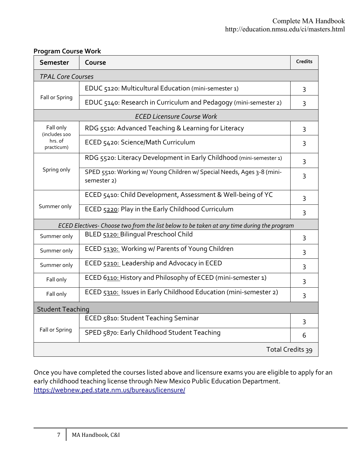| <b>Semester</b>                                                                           | Course                                                                                | Credits |  |  |
|-------------------------------------------------------------------------------------------|---------------------------------------------------------------------------------------|---------|--|--|
| <b>TPAL Core Courses</b>                                                                  |                                                                                       |         |  |  |
| Fall or Spring                                                                            | EDUC 5120: Multicultural Education (mini-semester 1)                                  | 3       |  |  |
|                                                                                           | EDUC 5140: Research in Curriculum and Pedagogy (mini-semester 2)                      | 3       |  |  |
| <b>ECED Licensure Course Work</b>                                                         |                                                                                       |         |  |  |
| Fall only<br>(includes 100<br>hrs. of<br>practicum)                                       | RDG 5510: Advanced Teaching & Learning for Literacy                                   | 3       |  |  |
|                                                                                           | ECED 5420: Science/Math Curriculum                                                    | 3       |  |  |
|                                                                                           | RDG 5520: Literacy Development in Early Childhood (mini-semester 1)                   | 3       |  |  |
| Spring only                                                                               | SPED 5510: Working w/ Young Children w/ Special Needs, Ages 3-8 (mini-<br>semester 2) | 3       |  |  |
| Summer only                                                                               | ECED 5410: Child Development, Assessment & Well-being of YC                           | 3       |  |  |
|                                                                                           | ECED 5220: Play in the Early Childhood Curriculum                                     | 3       |  |  |
| ECED Electives- Choose two from the list below to be taken at any time during the program |                                                                                       |         |  |  |
| Summer only                                                                               | BLED 5120: Bilingual Preschool Child                                                  | 3       |  |  |
| Summer only                                                                               | ECED 5130: Working w/ Parents of Young Children                                       | 3       |  |  |
| Summer only                                                                               | ECED 5210: Leadership and Advocacy in ECED                                            | 3       |  |  |
| Fall only                                                                                 | ECED 6110: History and Philosophy of ECED (mini-semester 1)                           | 3       |  |  |
| Fall only                                                                                 | ECED 5310: Issues in Early Childhood Education (mini-semester 2)                      | 3       |  |  |
| <b>Student Teaching</b>                                                                   |                                                                                       |         |  |  |
| Fall or Spring                                                                            | ECED 5810: Student Teaching Seminar                                                   | 3       |  |  |
|                                                                                           | SPED 5870: Early Childhood Student Teaching                                           | 6       |  |  |
| Total Credits 39                                                                          |                                                                                       |         |  |  |

#### **Program Course Work**

Once you have completed the courses listed above and licensure exams you are eligible to apply for an early childhood teaching license through New Mexico Public Education Department. <https://webnew.ped.state.nm.us/bureaus/licensure/>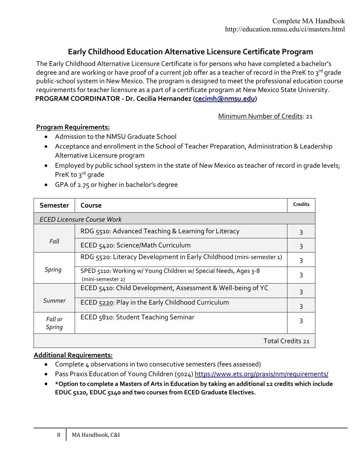## **Early Childhood Education Alternative Licensure Certificate Program**

The Early Childhood Alternative Licensure Certificate is for persons who have completed a bachelor's degree and are working or have proof of a current job offer as a teacher of record in the PreK to 3rd grade public-school system in New Mexico. The program is designed to meet the professional education course requirements for teacher licensure as a part of a certificate program at New Mexico State University. **PROGRAM COORDINATOR - Dr. Cecilia Hernandez [\(cecimh@nmsu.edu\)](mailto:cecimh@nmsu.edu)** 

Minimum Number of Credits: 21

#### **Program Requirements:**

- Admission to the NMSU Graduate School
- Acceptance and enrollment in the School of Teacher Preparation, Administration & Leadership Alternative Licensure program
- Employed by public school system in the state of New Mexico as teacher of record in grade levels; PreK to 3rd grade
- GPA of 2.75 or higher in bachelor's degree

| Semester                          | Course                                                                               | <b>Credits</b> |  |  |
|-----------------------------------|--------------------------------------------------------------------------------------|----------------|--|--|
| <b>ECED Licensure Course Work</b> |                                                                                      |                |  |  |
| Fall                              | RDG 5510: Advanced Teaching & Learning for Literacy                                  | 3              |  |  |
|                                   | ECED 5420: Science/Math Curriculum                                                   | 3              |  |  |
| Spring                            | RDG 5520: Literacy Development in Early Childhood (mini-semester 1)                  | 3              |  |  |
|                                   | SPED 5110: Working w/ Young Children w/ Special Needs, Ages 3-8<br>(mini-semester 2) | 3              |  |  |
| Summer                            | ECED 5410: Child Development, Assessment & Well-being of YC                          | 3              |  |  |
|                                   | ECED 5220: Play in the Early Childhood Curriculum                                    | 3              |  |  |
| Fall or<br>Spring                 | ECED 5810: Student Teaching Seminar                                                  | 3              |  |  |
| Total Credits 21                  |                                                                                      |                |  |  |

#### **Additional Requirements:**

- Complete 4 observations in two consecutive semesters (fees assessed)
- Pass Praxis Education of Young Children (5024[\) https://www.ets.org/praxis/nm/requirements/](https://www.ets.org/praxis/nm/requirements/)
- **\*Option to complete a Masters of Arts in Education by taking an additional 12 credits which include EDUC 5120, EDUC 5140 and two courses from ECED Graduate Electives.**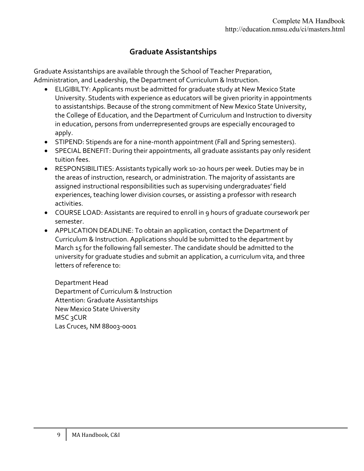## **Graduate Assistantships**

Graduate Assistantships are available through the School of Teacher Preparation, Administration, and Leadership, the Department of Curriculum & Instruction.

- ELIGIBILTY: Applicants must be admitted for graduate study at New Mexico State University. Students with experience as educators will be given priority in appointments to assistantships. Because of the strong commitment of New Mexico State University, the College of Education, and the Department of Curriculum and Instruction to diversity in education, persons from underrepresented groups are especially encouraged to apply.
- STIPEND: Stipends are for a nine-month appointment (Fall and Spring semesters).
- SPECIAL BENEFIT: During their appointments, all graduate assistants pay only resident tuition fees.
- RESPONSIBILITIES: Assistants typically work 10-20 hours per week. Duties may be in the areas of instruction, research, or administration. The majority of assistants are assigned instructional responsibilities such as supervising undergraduates' field experiences, teaching lower division courses, or assisting a professor with research activities.
- COURSE LOAD: Assistants are required to enroll in 9 hours of graduate coursework per semester.
- APPLICATION DEADLINE: To obtain an application, contact the Department of Curriculum & Instruction. Applications should be submitted to the department by March 15 for the following fall semester. The candidate should be admitted to the university for graduate studies and submit an application, a curriculum vita, and three letters of reference to:

Department Head Department of Curriculum & Instruction Attention: Graduate Assistantships New Mexico State University MSC 3CUR Las Cruces, NM 88003-0001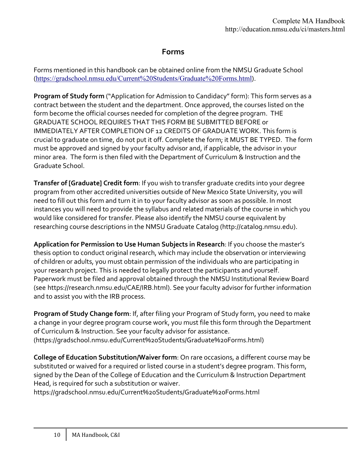### **Forms**

Forms mentioned in this handbook can be obtained online from the NMSU Graduate School (<https://gradschool.nmsu.edu/Current%20Students/Graduate%20Forms.html>).

**Program of Study form** ("Application for Admission to Candidacy" form): This form serves as a contract between the student and the department. Once approved, the courses listed on the form become the official courses needed for completion of the degree program. THE GRADUATE SCHOOL REQUIRES THAT THIS FORM BE SUBMITTED BEFORE or IMMEDIATELY AFTER COMPLETION OF 12 CREDITS OF GRADUATE WORK. This form is crucial to graduate on time, do not put it off. Complete the form; it MUST BE TYPED. The form must be approved and signed by your faculty advisor and, if applicable, the advisor in your minor area. The form is then filed with the Department of Curriculum & Instruction and the Graduate School.

**Transfer of [Graduate] Credit form**: If you wish to transfer graduate credits into your degree program from other accredited universities outside of New Mexico State University, you will need to fill out this form and turn it in to your faculty advisor as soon as possible. In most instances you will need to provide the syllabus and related materials of the course in which you would like considered for transfer. Please also identify the NMSU course equivalent by researching course descriptions in the NMSU Graduate Catalog (http://catalog.nmsu.edu).

**Application for Permission to Use Human Subjects in Research**: If you choose the master's thesis option to conduct original research, which may include the observation or interviewing of children or adults, you must obtain permission of the individuals who are participating in your research project. This is needed to legally protect the participants and yourself. Paperwork must be filed and approval obtained through the NMSU Institutional Review Board (see https://research.nmsu.edu/CAE/IRB.html). See your faculty advisor for further information and to assist you with the IRB process.

**Program of Study Change form**: If, after filing your Program of Study form, you need to make a change in your degree program course work, you must file this form through the Department of Curriculum & Instruction. See your faculty advisor for assistance. (https://gradschool.nmsu.edu/Current%20Students/Graduate%20Forms.html)

**College of Education Substitution/Waiver form**: On rare occasions, a different course may be substituted or waived for a required or listed course in a student's degree program. This form, signed by the Dean of the College of Education and the Curriculum & Instruction Department Head, is required for such a substitution or waiver.

https://gradschool.nmsu.edu/Current%20Students/Graduate%20Forms.html